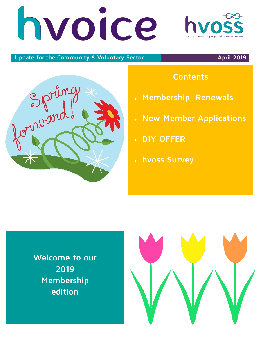# hvoice



### **Update for the Community & Voluntary Sector April 2019**



# **Contents**

- **Membership Renewals**
- **New Member Applications**
- **DIY OFFER**
- **hvoss Survey**

**Welcome to our 2019 Membership edition**

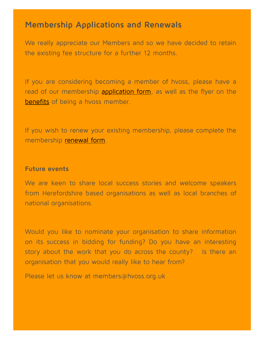## **Membership Applications and Renewals**

We really appreciate our Members and so we have decided to retain the existing fee structure for a further 12 months.

If you are considering becoming a member of hvoss, please have a read of our membership [application form,](file:///Z:/hvoss Membership/2019_20 Membership/New Members Application Form 2019 2020.docx) as well as the flyer on the [benefits](file:///Z:/hvoss Membership/2019_20 Membership/hvoss membership benefits flyer 2019.pdf) of being a hvoss member.

If you wish to renew your existing membership, please complete the membership [renewal form.](file:///Z:/hvoss Membership/2019_20 Membership/Membership Renewal Form 2019_20.docx)

### **Future events**

We are keen to share local success stories and welcome speakers from Herefordshire based organisations as well as local branches of national organisations.

Would you like to nominate your organisation to share information on its success in bidding for funding? Do you have an interesting story about the work that you do across the county? Is there an organisation that you would really like to hear from?

Please let us know at members@hvoss.org.uk